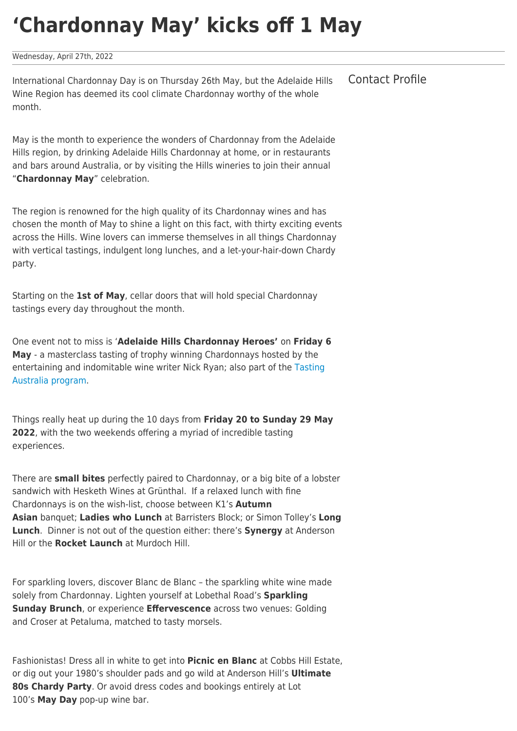## **'Chardonnay May' kicks off 1 May**

Wednesday, April 27th, 2022

International Chardonnay Day is on Thursday 26th May, but the Adelaide Hills Contact Profile Wine Region has deemed its cool climate Chardonnay worthy of the whole month.

May is the month to experience the wonders of Chardonnay from the Adelaide Hills region, by drinking Adelaide Hills Chardonnay at home, or in restaurants and bars around Australia, or by visiting the Hills wineries to join their annual "**Chardonnay May**" celebration.

The region is renowned for the high quality of its Chardonnay wines and has chosen the month of May to shine a light on this fact, with thirty exciting events across the Hills. Wine lovers can immerse themselves in all things Chardonnay with vertical tastings, indulgent long lunches, and a let-your-hair-down Chardy party.

Starting on the **1st of May**, cellar doors that will hold special Chardonnay tastings every day throughout the month.

One event not to miss is '**Adelaide Hills Chardonnay Heroes'** on **Friday 6 May** - a masterclass tasting of trophy winning Chardonnays hosted by the entertaining and indomitable wine writer Nick Ryan; also part of the [Tasting](https://tastingaustralia.com.au/products/events/2022/adelaide-hills-chardonnay-heroes) [Australia program](https://tastingaustralia.com.au/products/events/2022/adelaide-hills-chardonnay-heroes).

Things really heat up during the 10 days from **Friday 20 to Sunday 29 May 2022**, with the two weekends offering a myriad of incredible tasting experiences.

There are **small bites** perfectly paired to Chardonnay, or a big bite of a lobster sandwich with Hesketh Wines at Grünthal. If a relaxed lunch with fine Chardonnays is on the wish-list, choose between K1's **Autumn Asian** banquet; **Ladies who Lunch** at Barristers Block; or Simon Tolley's **Long Lunch**. Dinner is not out of the question either: there's **Synergy** at Anderson Hill or the **Rocket Launch** at Murdoch Hill.

For sparkling lovers, discover Blanc de Blanc – the sparkling white wine made solely from Chardonnay. Lighten yourself at Lobethal Road's **Sparkling Sunday Brunch**, or experience **Effervescence** across two venues: Golding and Croser at Petaluma, matched to tasty morsels.

Fashionistas! Dress all in white to get into **Picnic en Blanc** at Cobbs Hill Estate, or dig out your 1980's shoulder pads and go wild at Anderson Hill's **Ultimate 80s Chardy Party**. Or avoid dress codes and bookings entirely at Lot 100's **May Day** pop-up wine bar.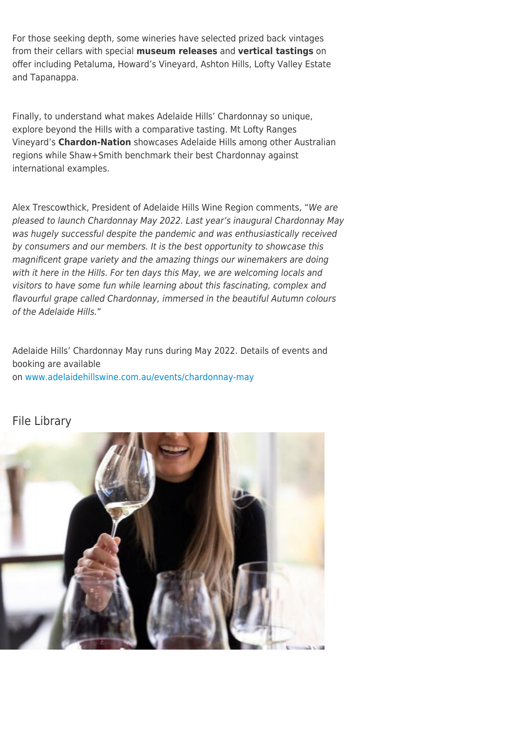For those seeking depth, some wineries have selected prized back vintages from their cellars with special **museum releases** and **vertical tastings** on offer including Petaluma, Howard's Vineyard, Ashton Hills, Lofty Valley Estate and Tapanappa.

Finally, to understand what makes Adelaide Hills' Chardonnay so unique, explore beyond the Hills with a comparative tasting. Mt Lofty Ranges Vineyard's **Chardon-Nation** showcases Adelaide Hills among other Australian regions while Shaw+Smith benchmark their best Chardonnay against international examples.

Alex Trescowthick, President of Adelaide Hills Wine Region comments, "We are pleased to launch Chardonnay May 2022. Last year's inaugural Chardonnay May was hugely successful despite the pandemic and was enthusiastically received by consumers and our members. It is the best opportunity to showcase this magnificent grape variety and the amazing things our winemakers are doing with it here in the Hills. For ten days this May, we are welcoming locals and visitors to have some fun while learning about this fascinating, complex and flavourful grape called Chardonnay, immersed in the beautiful Autumn colours of the Adelaide Hills."

Adelaide Hills' Chardonnay May runs during May 2022. Details of events and booking are available on [www.adelaidehillswine.com.au/events/chardonnay-may](http://www.adelaidehillswine.com.au/events/chardonnay-may)

## File Library

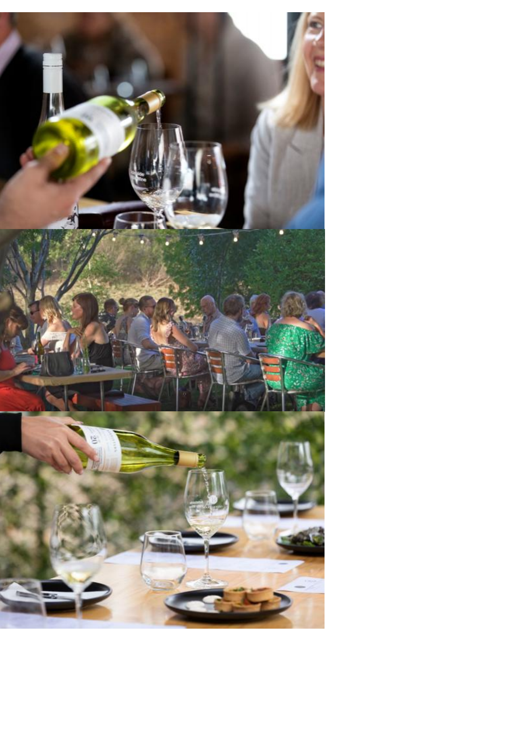